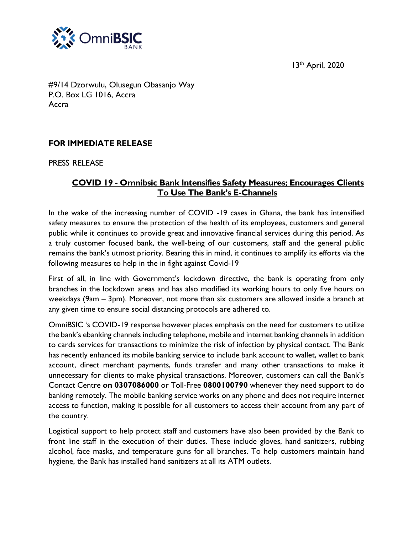13<sup>th</sup> April, 2020



#9/14 Dzorwulu, Olusegun Obasanjo Way P.O. Box LG 1016, Accra Accra

## **FOR IMMEDIATE RELEASE**

PRESS RELEASE

## **COVID 19 - Omnibsic Bank Intensifies Safety Measures; Encourages Clients To Use The Bank's E-Channels**

In the wake of the increasing number of COVID -19 cases in Ghana, the bank has intensified safety measures to ensure the protection of the health of its employees, customers and general public while it continues to provide great and innovative financial services during this period. As a truly customer focused bank, the well-being of our customers, staff and the general public remains the bank's utmost priority. Bearing this in mind, it continues to amplify its efforts via the following measures to help in the in fight against Covid-19

First of all, in line with Government's lockdown directive, the bank is operating from only branches in the lockdown areas and has also modified its working hours to only five hours on weekdays (9am – 3pm). Moreover, not more than six customers are allowed inside a branch at any given time to ensure social distancing protocols are adhered to.

OmniBSIC 's COVID-19 response however places emphasis on the need for customers to utilize the bank's ebanking channels including telephone, mobile and internet banking channels in addition to cards services for transactions to minimize the risk of infection by physical contact. The Bank has recently enhanced its mobile banking service to include bank account to wallet, wallet to bank account, direct merchant payments, funds transfer and many other transactions to make it unnecessary for clients to make physical transactions. Moreover, customers can call the Bank's Contact Centre **on 0307086000** or Toll-Free **0800100790** whenever they need support to do banking remotely. The mobile banking service works on any phone and does not require internet access to function, making it possible for all customers to access their account from any part of the country.

Logistical support to help protect staff and customers have also been provided by the Bank to front line staff in the execution of their duties. These include gloves, hand sanitizers, rubbing alcohol, face masks, and temperature guns for all branches. To help customers maintain hand hygiene, the Bank has installed hand sanitizers at all its ATM outlets.